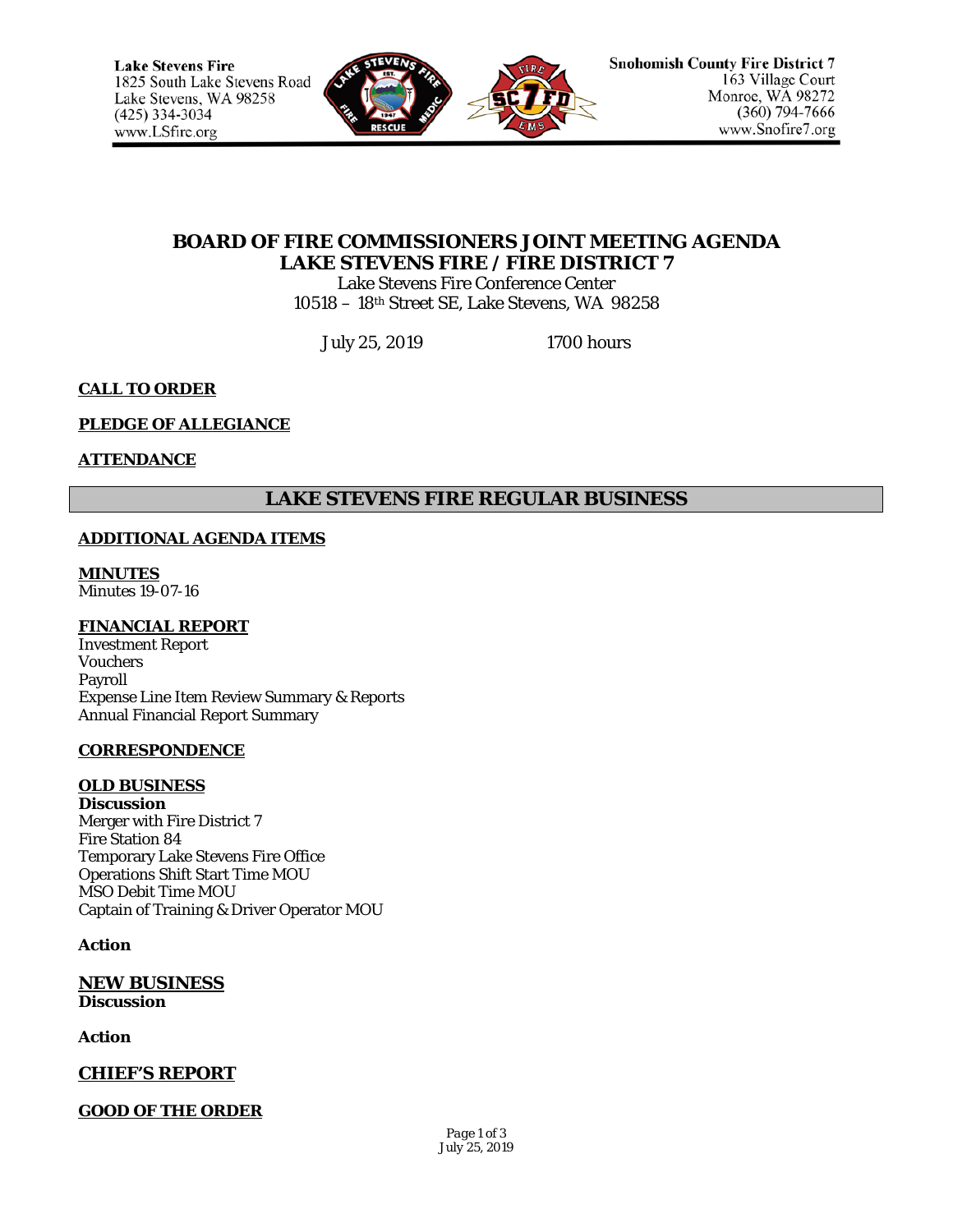

# **BOARD OF FIRE COMMISSIONERS JOINT MEETING AGENDA LAKE STEVENS FIRE / FIRE DISTRICT 7**

Lake Stevens Fire Conference Center 10518 – 18th Street SE, Lake Stevens, WA 98258

July 25, 2019 1700 hours

## **CALL TO ORDER**

### **PLEDGE OF ALLEGIANCE**

### **ATTENDANCE**

# **LAKE STEVENS FIRE REGULAR BUSINESS**

### **ADDITIONAL AGENDA ITEMS**

**MINUTES** Minutes 19-07-16

### **FINANCIAL REPORT**

Investment Report Vouchers Payroll Expense Line Item Review Summary & Reports Annual Financial Report Summary

### **CORRESPONDENCE**

#### **OLD BUSINESS**

**Discussion** Merger with Fire District 7 Fire Station 84 Temporary Lake Stevens Fire Office Operations Shift Start Time MOU MSO Debit Time MOU Captain of Training & Driver Operator MOU

### **Action**

**NEW BUSINESS Discussion**

**Action**

**CHIEF'S REPORT**

### **GOOD OF THE ORDER**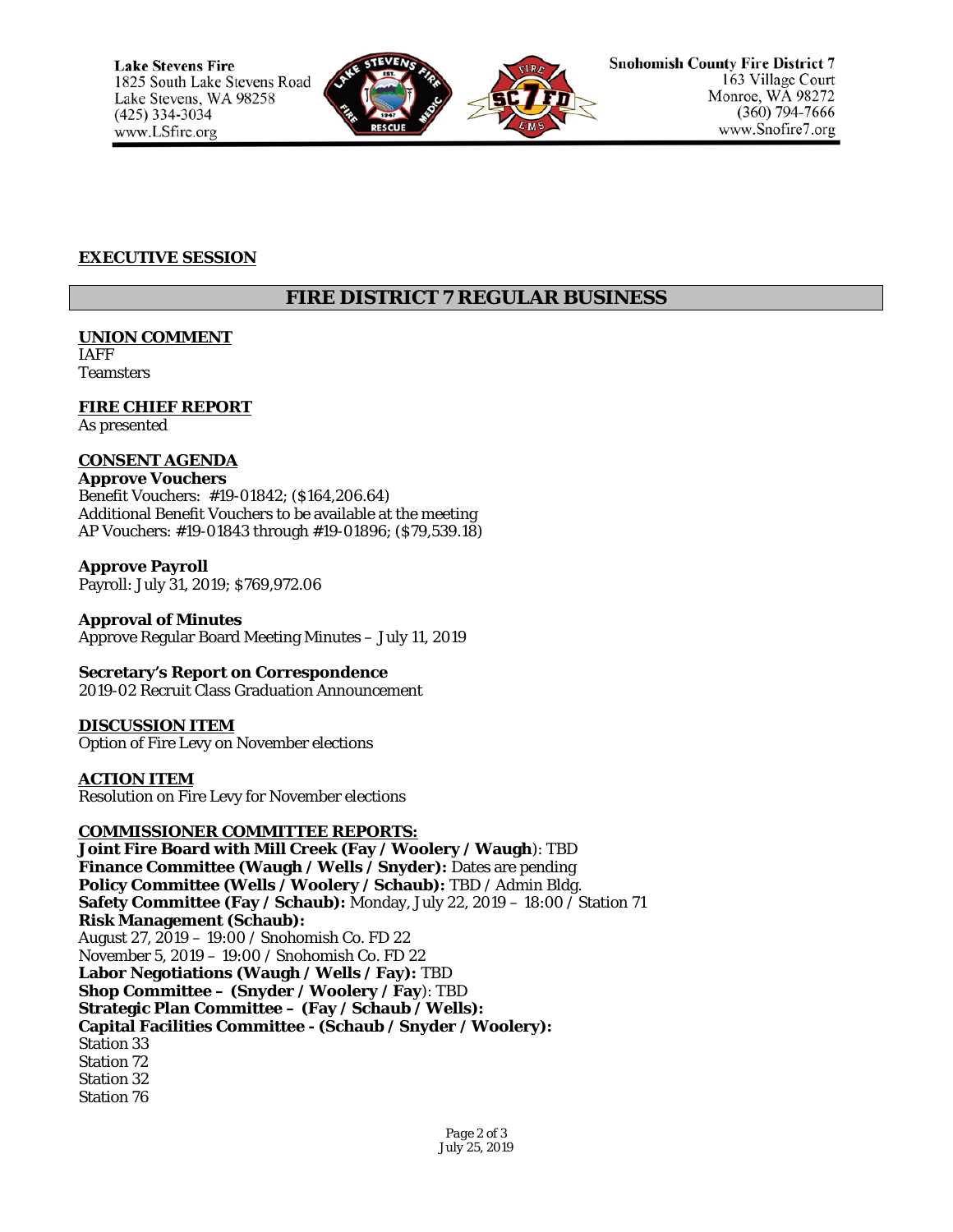

### **EXECUTIVE SESSION**

# **FIRE DISTRICT 7 REGULAR BUSINESS**

**UNION COMMENT** IAFF

Teamsters

**FIRE CHIEF REPORT** As presented

# **CONSENT AGENDA**

**Approve Vouchers** Benefit Vouchers: #19-01842; (\$164,206.64) Additional Benefit Vouchers to be available at the meeting AP Vouchers: #19-01843 through #19-01896; (\$79,539.18)

**Approve Payroll** Payroll: July 31, 2019; \$769,972.06

**Approval of Minutes** Approve Regular Board Meeting Minutes – July 11, 2019

**Secretary's Report on Correspondence** 2019-02 Recruit Class Graduation Announcement

**DISCUSSION ITEM**

Option of Fire Levy on November elections

**ACTION ITEM** Resolution on Fire Levy for November elections

### **COMMISSIONER COMMITTEE REPORTS:**

**Joint Fire Board with Mill Creek (Fay / Woolery / Waugh**): TBD **Finance Committee (Waugh / Wells / Snyder):** Dates are pending **Policy Committee (Wells / Woolery / Schaub):** TBD / Admin Bldg. **Safety Committee (Fay / Schaub):** Monday, July 22, 2019 – 18:00 / Station 71 **Risk Management (Schaub):** August 27, 2019 – 19:00 / Snohomish Co. FD 22 November 5, 2019 – 19:00 / Snohomish Co. FD 22 **Labor Negotiations (Waugh / Wells / Fay):** TBD **Shop Committee – (Snyder / Woolery / Fay**): TBD **Strategic Plan Committee – (Fay / Schaub / Wells): Capital Facilities Committee - (Schaub / Snyder / Woolery):** Station 33 Station 72 Station 32 Station 76